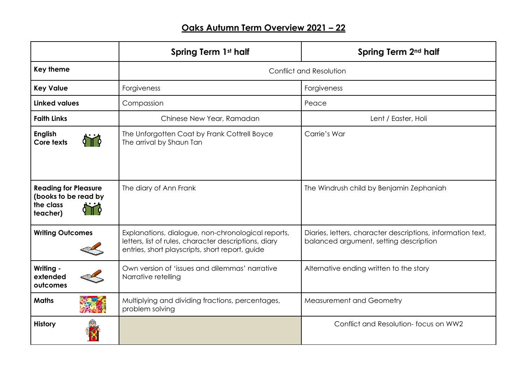## **Oaks Autumn Term Overview 2021 – 22**

|                                                                              | Spring Term 1st half                                                                                                                                           | Spring Term 2 <sup>nd</sup> half                                                                      |
|------------------------------------------------------------------------------|----------------------------------------------------------------------------------------------------------------------------------------------------------------|-------------------------------------------------------------------------------------------------------|
| <b>Key theme</b>                                                             | Conflict and Resolution                                                                                                                                        |                                                                                                       |
| <b>Key Value</b>                                                             | Forgiveness                                                                                                                                                    | Forgiveness                                                                                           |
| <b>Linked values</b>                                                         | Compassion                                                                                                                                                     | Peace                                                                                                 |
| <b>Faith Links</b>                                                           | Chinese New Year, Ramadan                                                                                                                                      | Lent / Easter, Holi                                                                                   |
| <b>English</b><br>Core texts                                                 | The Unforgotten Coat by Frank Cottrell Boyce<br>The arrival by Shaun Tan                                                                                       | Carrie's War                                                                                          |
| <b>Reading for Pleasure</b><br>(books to be read by<br>the class<br>teacher) | The diary of Ann Frank                                                                                                                                         | The Windrush child by Benjamin Zephaniah                                                              |
| <b>Writing Outcomes</b>                                                      | Explanations, dialogue, non-chronological reports,<br>letters, list of rules, character descriptions, diary<br>entries, short playscripts, short report, guide | Diaries, letters, character descriptions, information text,<br>balanced argument, setting description |
| Writing -<br>extended<br>outcomes                                            | Own version of 'issues and dilemmas' narrative<br>Narrative retelling                                                                                          | Alternative ending written to the story                                                               |
| <b>Maths</b>                                                                 | Multiplying and dividing fractions, percentages,<br>problem solving                                                                                            | Measurement and Geometry                                                                              |
| <b>History</b>                                                               |                                                                                                                                                                | Conflict and Resolution-focus on WW2                                                                  |